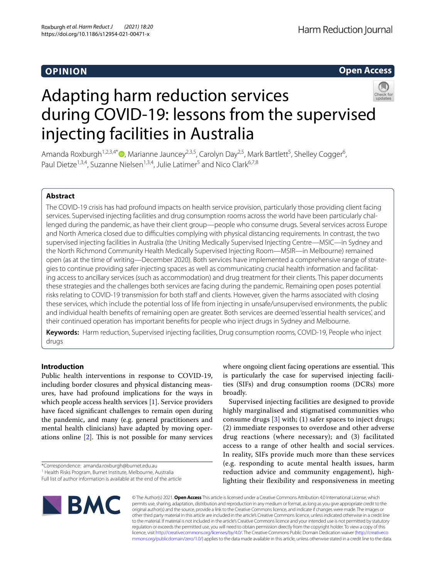# **OPINION**

**Open Access**

# Adapting harm reduction services during COVID-19: lessons from the supervised injecting facilities in Australia



Amanda Roxburgh<sup>1[,](http://orcid.org/0000-0001-8609-0075)2,3,4\*</sup> <sup>(1</sup>), Marianne Jauncey<sup>2,3,5</sup>, Carolyn Day<sup>2,5</sup>, Mark Bartlett<sup>5</sup>, Shelley Cogger<sup>6</sup>, Paul Dietze<sup>1,3,4</sup>, Suzanne Nielsen<sup>1,3,4</sup>, Julie Latimer<sup>5</sup> and Nico Clark<sup>6,7,8</sup>

# **Abstract**

The COVID-19 crisis has had profound impacts on health service provision, particularly those providing client facing services. Supervised injecting facilities and drug consumption rooms across the world have been particularly challenged during the pandemic, as have their client group—people who consume drugs. Several services across Europe and North America closed due to difficulties complying with physical distancing requirements. In contrast, the two supervised injecting facilities in Australia (the Uniting Medically Supervised Injecting Centre—MSIC—in Sydney and the North Richmond Community Health Medically Supervised Injecting Room—MSIR—in Melbourne) remained open (as at the time of writing—December 2020). Both services have implemented a comprehensive range of strategies to continue providing safer injecting spaces as well as communicating crucial health information and facilitating access to ancillary services (such as accommodation) and drug treatment for their clients. This paper documents these strategies and the challenges both services are facing during the pandemic. Remaining open poses potential risks relating to COVID-19 transmission for both staff and clients. However, given the harms associated with closing these services, which include the potential loss of life from injecting in unsafe/unsupervised environments, the public and individual health benefts of remaining open are greater. Both services are deemed 'essential health services', and their continued operation has important benefts for people who inject drugs in Sydney and Melbourne.

**Keywords:** Harm reduction, Supervised injecting facilities, Drug consumption rooms, COVID-19, People who inject drugs

# **Introduction**

Public health interventions in response to COVID-19, including border closures and physical distancing measures, have had profound implications for the ways in which people access health services [\[1\]](#page-8-0). Service providers have faced signifcant challenges to remain open during the pandemic, and many (e.g. general practitioners and mental health clinicians) have adapted by moving operations online  $[2]$  $[2]$ . This is not possible for many services where ongoing client facing operations are essential. This is particularly the case for supervised injecting facilities (SIFs) and drug consumption rooms (DCRs) more broadly.

Supervised injecting facilities are designed to provide highly marginalised and stigmatised communities who consume drugs [\[3\]](#page-8-2) with; (1) safer spaces to inject drugs; (2) immediate responses to overdose and other adverse drug reactions (where necessary); and (3) facilitated access to a range of other health and social services. In reality, SIFs provide much more than these services (e.g. responding to acute mental health issues, harm reduction advice and community engagement), highlighting their fexibility and responsiveness in meeting



© The Author(s) 2021. **Open Access** This article is licensed under a Creative Commons Attribution 4.0 International License, which permits use, sharing, adaptation, distribution and reproduction in any medium or format, as long as you give appropriate credit to the original author(s) and the source, provide a link to the Creative Commons licence, and indicate if changes were made. The images or other third party material in this article are included in the article's Creative Commons licence, unless indicated otherwise in a credit line to the material. If material is not included in the article's Creative Commons licence and your intended use is not permitted by statutory regulation or exceeds the permitted use, you will need to obtain permission directly from the copyright holder. To view a copy of this licence, visit [http://creativecommons.org/licenses/by/4.0/.](http://creativecommons.org/licenses/by/4.0/) The Creative Commons Public Domain Dedication waiver ([http://creativeco](http://creativecommons.org/publicdomain/zero/1.0/) [mmons.org/publicdomain/zero/1.0/](http://creativecommons.org/publicdomain/zero/1.0/)) applies to the data made available in this article, unless otherwise stated in a credit line to the data.

<sup>\*</sup>Correspondence: amanda.roxburgh@burnet.edu.au

<sup>&</sup>lt;sup>1</sup> Health Risks Program, Burnet Institute, Melbourne, Australia

Full list of author information is available at the end of the article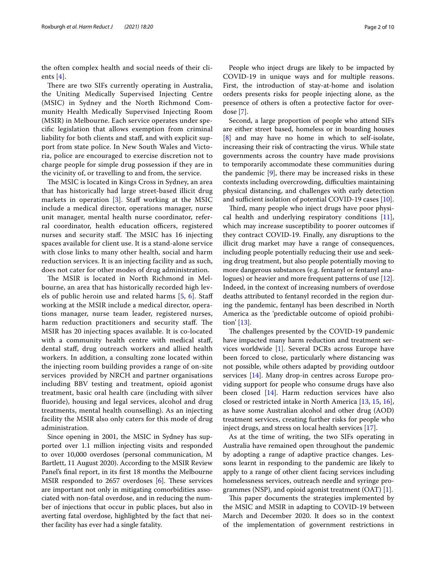the often complex health and social needs of their clients  $[4]$  $[4]$  $[4]$ .

There are two SIFs currently operating in Australia, the Uniting Medically Supervised Injecting Centre (MSIC) in Sydney and the North Richmond Community Health Medically Supervised Injecting Room (MSIR) in Melbourne. Each service operates under specifc legislation that allows exemption from criminal liability for both clients and staf, and with explicit support from state police. In New South Wales and Victoria, police are encouraged to exercise discretion not to charge people for simple drug possession if they are in the vicinity of, or travelling to and from, the service.

The MSIC is located in Kings Cross in Sydney, an area that has historically had large street-based illicit drug markets in operation  $[3]$  $[3]$  $[3]$ . Staff working at the MSIC include a medical director, operations manager, nurse unit manager, mental health nurse coordinator, referral coordinator, health education officers, registered nurses and security staff. The MSIC has 16 injecting spaces available for client use. It is a stand-alone service with close links to many other health, social and harm reduction services. It is an injecting facility and as such, does not cater for other modes of drug administration.

The MSIR is located in North Richmond in Melbourne, an area that has historically recorded high levels of public heroin use and related harms  $[5, 6]$  $[5, 6]$  $[5, 6]$  $[5, 6]$  $[5, 6]$ . Staff working at the MSIR include a medical director, operations manager, nurse team leader, registered nurses, harm reduction practitioners and security staff. The MSIR has 20 injecting spaces available. It is co-located with a community health centre with medical staff, dental staf, drug outreach workers and allied health workers. In addition, a consulting zone located within the injecting room building provides a range of on-site services provided by NRCH and partner organisations including BBV testing and treatment, opioid agonist treatment, basic oral health care (including with silver fuoride), housing and legal services, alcohol and drug treatments, mental health counselling). As an injecting facility the MSIR also only caters for this mode of drug administration.

Since opening in 2001, the MSIC in Sydney has supported over 1.1 million injecting visits and responded to over 10,000 overdoses (personal communication, M Bartlett, 11 August 2020). According to the MSIR Review Panel's fnal report, in its frst 18 months the Melbourne MSIR responded to 2657 overdoses  $[6]$  $[6]$ . These services are important not only in mitigating comorbidities associated with non-fatal overdose, and in reducing the number of injections that occur in public places, but also in averting fatal overdose, highlighted by the fact that neither facility has ever had a single fatality.

People who inject drugs are likely to be impacted by COVID-19 in unique ways and for multiple reasons. First, the introduction of stay-at-home and isolation orders presents risks for people injecting alone, as the presence of others is often a protective factor for overdose [\[7\]](#page-8-6).

Second, a large proportion of people who attend SIFs are either street based, homeless or in boarding houses [[8\]](#page-8-7) and may have no home in which to self-isolate, increasing their risk of contracting the virus. While state governments across the country have made provisions to temporarily accommodate these communities during the pandemic [\[9](#page-8-8)], there may be increased risks in these contexts including overcrowding, difficulties maintaining physical distancing, and challenges with early detection and sufficient isolation of potential COVID-19 cases [\[10\]](#page-8-9).

Third, many people who inject drugs have poor physical health and underlying respiratory conditions  $[11]$  $[11]$ , which may increase susceptibility to poorer outcomes if they contract COVID-19. Finally, any disruptions to the illicit drug market may have a range of consequences, including people potentially reducing their use and seeking drug treatment, but also people potentially moving to more dangerous substances (e.g. fentanyl or fentanyl analogues) or heavier and more frequent patterns of use [\[12](#page-8-11)]. Indeed, in the context of increasing numbers of overdose deaths attributed to fentanyl recorded in the region during the pandemic, fentanyl has been described in North America as the 'predictable outcome of opioid prohibition' [\[13](#page-8-12)].

The challenges presented by the COVID-19 pandemic have impacted many harm reduction and treatment services worldwide [\[1](#page-8-0)]. Several DCRs across Europe have been forced to close, particularly where distancing was not possible, while others adapted by providing outdoor services [\[14\]](#page-8-13). Many drop-in centres across Europe providing support for people who consume drugs have also been closed [[14](#page-8-13)]. Harm reduction services have also closed or restricted intake in North America [[13,](#page-8-12) [15](#page-8-14), [16](#page-8-15)], as have some Australian alcohol and other drug (AOD) treatment services, creating further risks for people who inject drugs, and stress on local health services [[17\]](#page-8-16).

As at the time of writing, the two SIFs operating in Australia have remained open throughout the pandemic by adopting a range of adaptive practice changes. Lessons learnt in responding to the pandemic are likely to apply to a range of other client facing services including homelessness services, outreach needle and syringe programmes (NSP), and opioid agonist treatment (OAT) [[1\]](#page-8-0).

This paper documents the strategies implemented by the MSIC and MSIR in adapting to COVID-19 between March and December 2020. It does so in the context of the implementation of government restrictions in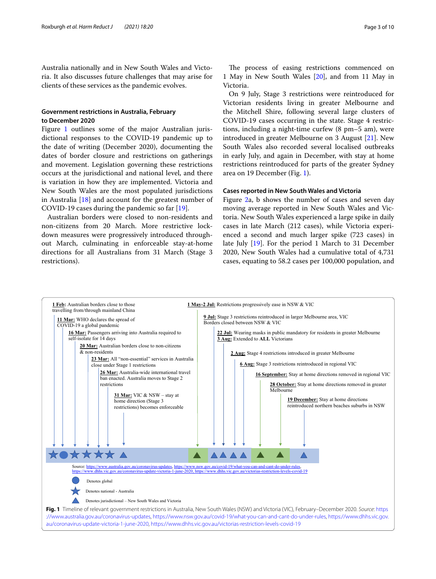Australia nationally and in New South Wales and Victoria. It also discusses future challenges that may arise for clients of these services as the pandemic evolves.

# **Government restrictions in Australia, February to December 2020**

Figure [1](#page-2-0) outlines some of the major Australian jurisdictional responses to the COVID-19 pandemic up to the date of writing (December 2020), documenting the dates of border closure and restrictions on gatherings and movement. Legislation governing these restrictions occurs at the jurisdictional and national level, and there is variation in how they are implemented. Victoria and New South Wales are the most populated jurisdictions in Australia  $[18]$  and account for the greatest number of COVID-19 cases during the pandemic so far [\[19](#page-8-18)].

Australian borders were closed to non-residents and non-citizens from 20 March. More restrictive lockdown measures were progressively introduced throughout March, culminating in enforceable stay-at-home directions for all Australians from 31 March (Stage 3 restrictions).

The process of easing restrictions commenced on 1 May in New South Wales [[20](#page-8-19)], and from 11 May in Victoria.

On 9 July, Stage 3 restrictions were reintroduced for Victorian residents living in greater Melbourne and the Mitchell Shire, following several large clusters of COVID-19 cases occurring in the state. Stage 4 restrictions, including a night-time curfew (8 pm–5 am), were introduced in greater Melbourne on 3 August [\[21](#page-8-20)]. New South Wales also recorded several localised outbreaks in early July, and again in December, with stay at home restrictions reintroduced for parts of the greater Sydney area on 19 December (Fig. [1](#page-2-0)).

## **Cases reported in New South Wales and Victoria**

Figure [2](#page-3-0)a, b shows the number of cases and seven day moving average reported in New South Wales and Victoria. New South Wales experienced a large spike in daily cases in late March (212 cases), while Victoria experienced a second and much larger spike (723 cases) in late July [[19\]](#page-8-18). For the period 1 March to 31 December 2020, New South Wales had a cumulative total of 4,731 cases, equating to 58.2 cases per 100,000 population, and

<span id="page-2-0"></span>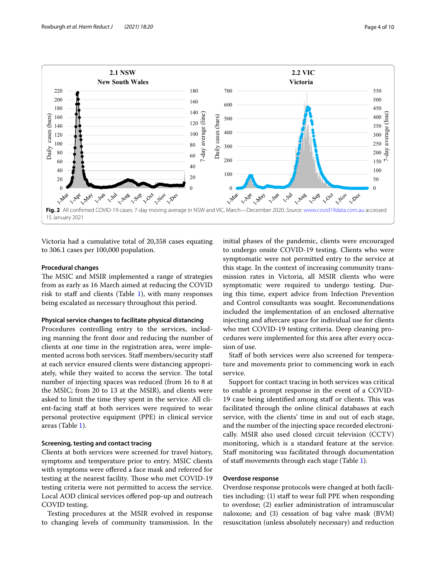

<span id="page-3-0"></span>Victoria had a cumulative total of 20,358 cases equating to 306.1 cases per 100,000 population.

## **Procedural changes**

The MSIC and MSIR implemented a range of strategies from as early as 16 March aimed at reducing the COVID risk to staff and clients (Table  $1$ ), with many responses being escalated as necessary throughout this period.

## **Physical service changes to facilitate physical distancing**

Procedures controlling entry to the services, including manning the front door and reducing the number of clients at one time in the registration area, were implemented across both services. Staff members/security staff at each service ensured clients were distancing appropriately, while they waited to access the service. The total number of injecting spaces was reduced (from 16 to 8 at the MSIC; from 20 to 13 at the MSIR), and clients were asked to limit the time they spent in the service. All client-facing staff at both services were required to wear personal protective equipment (PPE) in clinical service areas (Table [1\)](#page-4-0).

## **Screening, testing and contact tracing**

Clients at both services were screened for travel history, symptoms and temperature prior to entry. MSIC clients with symptoms were offered a face mask and referred for testing at the nearest facility. Those who met COVID-19 testing criteria were not permitted to access the service. Local AOD clinical services offered pop-up and outreach COVID testing.

Testing procedures at the MSIR evolved in response to changing levels of community transmission. In the initial phases of the pandemic, clients were encouraged to undergo onsite COVID-19 testing. Clients who were symptomatic were not permitted entry to the service at this stage. In the context of increasing community transmission rates in Victoria, all MSIR clients who were symptomatic were required to undergo testing. During this time, expert advice from Infection Prevention and Control consultants was sought. Recommendations included the implementation of an enclosed alternative injecting and aftercare space for individual use for clients who met COVID-19 testing criteria. Deep cleaning procedures were implemented for this area after every occasion of use.

Staff of both services were also screened for temperature and movements prior to commencing work in each service.

Support for contact tracing in both services was critical to enable a prompt response in the event of a COVID-19 case being identified among staff or clients. This was facilitated through the online clinical databases at each service, with the clients' time in and out of each stage, and the number of the injecting space recorded electronically. MSIR also used closed circuit television (CCTV) monitoring, which is a standard feature at the service. Staff monitoring was facilitated through documentation of staff movements through each stage (Table [1\)](#page-4-0).

# **Overdose response**

Overdose response protocols were changed at both facilities including: (1) staf to wear full PPE when responding to overdose; (2) earlier administration of intramuscular naloxone; and (3) cessation of bag valve mask (BVM) resuscitation (unless absolutely necessary) and reduction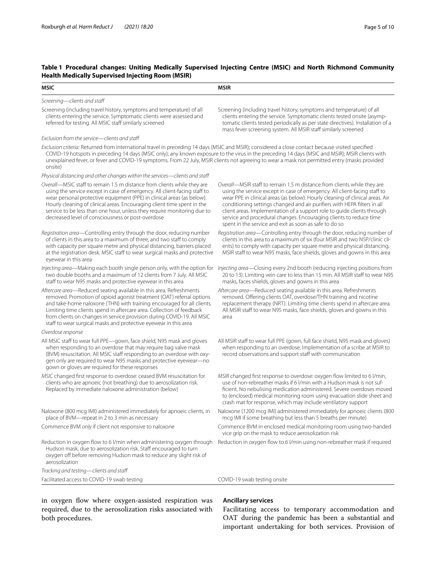# <span id="page-4-0"></span>**Table 1 Procedural changes: Uniting Medically Supervised Injecting Centre (MSIC) and North Richmond Community Health Medically Supervised Injecting Room (MSIR)**

| MSIC                                                                                                                                                                                                                                                                                                                                                                                                                                          | <b>MSIR</b>                                                                                                                                                                                                                                                                                                                                                                                                                                                                                                                  |
|-----------------------------------------------------------------------------------------------------------------------------------------------------------------------------------------------------------------------------------------------------------------------------------------------------------------------------------------------------------------------------------------------------------------------------------------------|------------------------------------------------------------------------------------------------------------------------------------------------------------------------------------------------------------------------------------------------------------------------------------------------------------------------------------------------------------------------------------------------------------------------------------------------------------------------------------------------------------------------------|
| Screening-clients and staff                                                                                                                                                                                                                                                                                                                                                                                                                   |                                                                                                                                                                                                                                                                                                                                                                                                                                                                                                                              |
| Screening (including travel history, symptoms and temperature) of all<br>clients entering the service. Symptomatic clients were assessed and<br>referred for testing. All MSIC staff similarly screened                                                                                                                                                                                                                                       | Screening (including travel history, symptoms and temperature) of all<br>clients entering the service. Symptomatic clients tested onsite (asymp-<br>tomatic clients tested periodically as per state directives). Installation of a<br>mass fever screening system. All MSIR staff similarly screened                                                                                                                                                                                                                        |
| Exclusion from the service-clients and staff                                                                                                                                                                                                                                                                                                                                                                                                  |                                                                                                                                                                                                                                                                                                                                                                                                                                                                                                                              |
| Exclusion criteria: Returned from international travel in preceding 14 days (MSIC and MSIR); considered a close contact because visited specified<br>unexplained fever, or fever and COVID-19 symptoms. From 22 July, MSIR clients not agreeing to wear a mask not permitted entry (masks provided<br>onsite)                                                                                                                                 | COVID-19 hotspots in preceding 14 days (MSIC only); any known exposure to the virus in the preceding 14 days (MSIC and MSIR); MSIR clients with                                                                                                                                                                                                                                                                                                                                                                              |
| Physical distancing and other changes within the services-clients and staff                                                                                                                                                                                                                                                                                                                                                                   |                                                                                                                                                                                                                                                                                                                                                                                                                                                                                                                              |
| Overall—MSIC staff to remain 1.5 m distance from clients while they are<br>using the service except in case of emergency. All client-facing staff to<br>wear personal protective equipment (PPE) in clinical areas (as below).<br>Hourly cleaning of clinical areas. Encouraging client time spent in the<br>service to be less than one hour, unless they require monitoring due to<br>decreased level of consciousness or post-overdose     | Overall-MSIR staff to remain 1.5 m distance from clients while they are<br>using the service except in case of emergency. All client-facing staff to<br>wear PPE in clinical areas (as below). Hourly cleaning of clinical areas. Air<br>conditioning settings changed and air purifiers with HEPA filters in all<br>client areas. Implementation of a support role to guide clients through<br>service and procedural changes. Encouraging clients to reduce time<br>spent in the service and exit as soon as safe to do so |
| Registration area-Controlling entry through the door, reducing number<br>of clients in this area to a maximum of three, and two staff to comply<br>with capacity per square metre and physical distancing, barriers placed<br>at the registration desk. MSIC staff to wear surgical masks and protective<br>eyewear in this area                                                                                                              | Registration area-Controlling entry through the door, reducing number of<br>clients in this area to a maximum of six (four MSIR and two NSP/clinic cli-<br>ents) to comply with capacity per square metre and physical distancing.<br>MSIR staff to wear N95 masks, face shields, gloves and gowns in this area                                                                                                                                                                                                              |
| Injecting area—Making each booth single person only, with the option for<br>two double booths and a maximum of 12 clients from 7 July. All MSIC<br>staff to wear N95 masks and protective eyewear in this area                                                                                                                                                                                                                                | Injecting area-Closing every 2nd booth (reducing injecting positions from<br>20 to 13). Limiting vein care to less than 15 min. All MSIR staff to wear N95<br>masks, faces shields, gloves and gowns in this area                                                                                                                                                                                                                                                                                                            |
| Aftercare area-Reduced seating available in this area. Refreshments<br>removed. Promotion of opioid agonist treatment (OAT) referral options<br>and take-home naloxone (THN) with training encouraged for all clients.<br>Limiting time clients spend in aftercare area. Collection of feedback<br>from clients on changes in service provision during COVID-19. All MSIC<br>staff to wear surgical masks and protective eyewear in this area | Aftercare area-Reduced seating available in this area. Refreshments<br>removed. Offering clients OAT, overdose/THN training and nicotine<br>replacement therapy (NRT). Limiting time clients spend in aftercare area.<br>All MSIR staff to wear N95 masks, face shields, gloves and gowns in this<br>area                                                                                                                                                                                                                    |
| Overdose response                                                                                                                                                                                                                                                                                                                                                                                                                             |                                                                                                                                                                                                                                                                                                                                                                                                                                                                                                                              |
| All MSIC staff to wear full PPE-gown, face shield, N95 mask and gloves<br>when responding to an overdose that may require bag valve mask<br>(BVM) resuscitation. All MSIC staff responding to an overdose with oxy-<br>gen only are required to wear N95 masks and protective eyewear-no<br>gown or gloves are required for these responses                                                                                                   | All MSIR staff to wear full PPE (gown, full face shield, N95 mask and gloves)<br>when responding to an overdose. Implementation of a scribe at MSIR to<br>record observations and support staff with communication                                                                                                                                                                                                                                                                                                           |
| MSIC changed first response to overdose: ceased BVM resuscitation for<br>clients who are apnoeic (not breathing) due to aerosolization risk.<br>Replaced by immediate naloxone administration (below)                                                                                                                                                                                                                                         | MSIR changed first response to overdose: oxygen flow limited to 6 l/min,<br>use of non-rebreather masks if 6 l/min with a Hudson mask is not suf-<br>ficient. No nebulising medication administered. Severe overdoses moved<br>to (enclosed) medical monitoring room using evacuation slide sheet and<br>crash mat for response, which may include ventilatory support                                                                                                                                                       |
| Naloxone (800 mcg IMI) administered immediately for apnoeic clients, in<br>place of BVM-repeat in 2 to 3 min as necessary                                                                                                                                                                                                                                                                                                                     | Naloxone (1200 mcg IMI) administered immediately for apnoeic clients (800<br>mcg IMI if some breathing but less than 5 breaths per minute)                                                                                                                                                                                                                                                                                                                                                                                   |
| Commence BVM only if client not responsive to naloxone                                                                                                                                                                                                                                                                                                                                                                                        | Commence BVM in enclosed medical monitoring room using two-handed<br>vice grip on the mask to reduce aerosolization risk                                                                                                                                                                                                                                                                                                                                                                                                     |
| Reduction in oxygen flow to 6 l/min when administering oxygen through<br>Hudson mask, due to aerosolization risk. Staff encouraged to turn<br>oxygen off before removing Hudson mask to reduce any slight risk of<br>aerosolization                                                                                                                                                                                                           | Reduction in oxygen flow to 6 l/min using non-rebreather mask if required                                                                                                                                                                                                                                                                                                                                                                                                                                                    |
| Tracking and testing-clients and staff                                                                                                                                                                                                                                                                                                                                                                                                        |                                                                                                                                                                                                                                                                                                                                                                                                                                                                                                                              |
| Facilitated access to COVID-19 swab testing                                                                                                                                                                                                                                                                                                                                                                                                   | COVID-19 swab testing onsite                                                                                                                                                                                                                                                                                                                                                                                                                                                                                                 |

in oxygen flow where oxygen-assisted respiration was required, due to the aerosolization risks associated with both procedures.

# **Ancillary services**

Facilitating access to temporary accommodation and OAT during the pandemic has been a substantial and important undertaking for both services. Provision of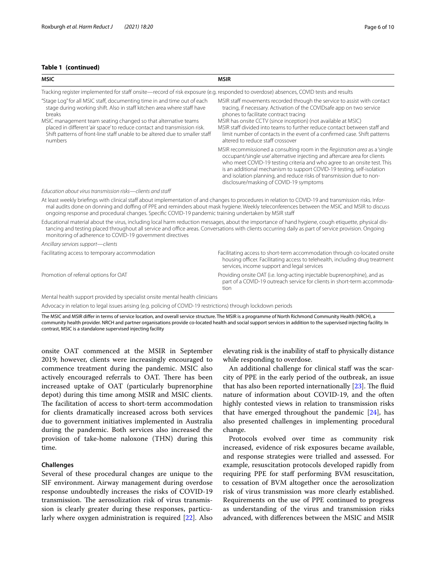# **Table 1 (continued)**

| <b>MSIC</b>                                                                                                                                                                                                                                                                                                                                                                                            | <b>MSIR</b>                                                                                                                                                                                                                                                                                                                                                                                                                                                 |
|--------------------------------------------------------------------------------------------------------------------------------------------------------------------------------------------------------------------------------------------------------------------------------------------------------------------------------------------------------------------------------------------------------|-------------------------------------------------------------------------------------------------------------------------------------------------------------------------------------------------------------------------------------------------------------------------------------------------------------------------------------------------------------------------------------------------------------------------------------------------------------|
| Tracking register implemented for staff onsite—record of risk exposure (e.g. responded to overdose) absences, COVID tests and results                                                                                                                                                                                                                                                                  |                                                                                                                                                                                                                                                                                                                                                                                                                                                             |
| "Stage Log" for all MSIC staff, documenting time in and time out of each<br>stage during working shift. Also in staff kitchen area where staff have<br>breaks<br>MSIC management team seating changed so that alternative teams<br>placed in different 'air space' to reduce contact and transmission risk.<br>Shift patterns of front-line staff unable to be altered due to smaller staff<br>numbers | MSIR staff movements recorded through the service to assist with contact<br>tracing, if necessary. Activation of the COVIDsafe app on two service<br>phones to facilitate contract tracing<br>MSIR has onsite CCTV (since inception) (not available at MSIC)<br>MSIR staff divided into teams to further reduce contact between staff and<br>limit number of contacts in the event of a confirmed case. Shift patterns<br>altered to reduce staff crossover |
|                                                                                                                                                                                                                                                                                                                                                                                                        | MSIR recommissioned a consulting room in the Registration area as a 'single<br>occupant/single use' alternative injecting and aftercare area for clients<br>who meet COVID-19 testing criteria and who agree to an onsite test. This<br>is an additional mechanism to support COVID-19 testing, self-isolation<br>and isolation planning, and reduce risks of transmission due to non-<br>disclosure/masking of COVID-19 symptoms                           |
| Education about virus transmission risks—clients and staff                                                                                                                                                                                                                                                                                                                                             |                                                                                                                                                                                                                                                                                                                                                                                                                                                             |
| At least weekly briefings with clinical staff about implementation of and changes to procedures in relation to COVID-19 and transmission risks. Infor-<br>ongoing response and procedural changes. Specific COVID-19 pandemic training undertaken by MSIR staff                                                                                                                                        | mal audits done on donning and doffing of PPE and reminders about mask hygiene. Weekly teleconferences between the MSIC and MSIR to discuss                                                                                                                                                                                                                                                                                                                 |
| Educational material about the virus, including local harm reduction messages, about the importance of hand hygiene, cough etiquette, physical dis-<br>monitoring of adherence to COVID-19 government directives                                                                                                                                                                                       | tancing and testing placed throughout all service and office areas. Conversations with clients occurring daily as part of service provision. Ongoing                                                                                                                                                                                                                                                                                                        |
| Ancillary services support-clients                                                                                                                                                                                                                                                                                                                                                                     |                                                                                                                                                                                                                                                                                                                                                                                                                                                             |
| Facilitating access to temporary accommodation                                                                                                                                                                                                                                                                                                                                                         | Facilitating access to short-term accommodation through co-located onsite<br>housing officer. Facilitating access to telehealth, including drug treatment<br>services, income support and legal services                                                                                                                                                                                                                                                    |
| Promotion of referral options for OAT                                                                                                                                                                                                                                                                                                                                                                  | Providing onsite OAT (i.e. long-acting injectable buprenorphine), and as<br>part of a COVID-19 outreach service for clients in short-term accommoda-<br>tion                                                                                                                                                                                                                                                                                                |
| Mental health support provided by specialist onsite mental health clinicians                                                                                                                                                                                                                                                                                                                           |                                                                                                                                                                                                                                                                                                                                                                                                                                                             |
| Advocacy in relation to legal issues arising (e.g. policing of COVID-19 restrictions) through lockdown periods                                                                                                                                                                                                                                                                                         |                                                                                                                                                                                                                                                                                                                                                                                                                                                             |

The MSIC and MSIR difer in terms of service location, and overall service structure. The MSIR is a programme of North Richmond Community Health (NRCH), a community health provider. NRCH and partner organisations provide co-located health and social support services in addition to the supervised injecting facility. In contrast, MSIC is a standalone supervised injecting facility

onsite OAT commenced at the MSIR in September 2019; however, clients were increasingly encouraged to commence treatment during the pandemic. MSIC also actively encouraged referrals to OAT. There has been increased uptake of OAT (particularly buprenorphine depot) during this time among MSIR and MSIC clients. The facilitation of access to short-term accommodation for clients dramatically increased across both services due to government initiatives implemented in Australia during the pandemic. Both services also increased the provision of take-home naloxone (THN) during this time.

## **Challenges**

Several of these procedural changes are unique to the SIF environment. Airway management during overdose response undoubtedly increases the risks of COVID-19 transmission. The aerosolization risk of virus transmission is clearly greater during these responses, particularly where oxygen administration is required [\[22](#page-8-21)]. Also

elevating risk is the inability of staf to physically distance while responding to overdose.

An additional challenge for clinical staff was the scarcity of PPE in the early period of the outbreak, an issue that has also been reported internationally  $[23]$  $[23]$ . The fluid nature of information about COVID-19, and the often highly contested views in relation to transmission risks that have emerged throughout the pandemic  $[24]$ , has also presented challenges in implementing procedural change.

Protocols evolved over time as community risk increased, evidence of risk exposures became available, and response strategies were trialled and assessed. For example, resuscitation protocols developed rapidly from requiring PPE for staff performing BVM resuscitation, to cessation of BVM altogether once the aerosolization risk of virus transmission was more clearly established. Requirements on the use of PPE continued to progress as understanding of the virus and transmission risks advanced, with diferences between the MSIC and MSIR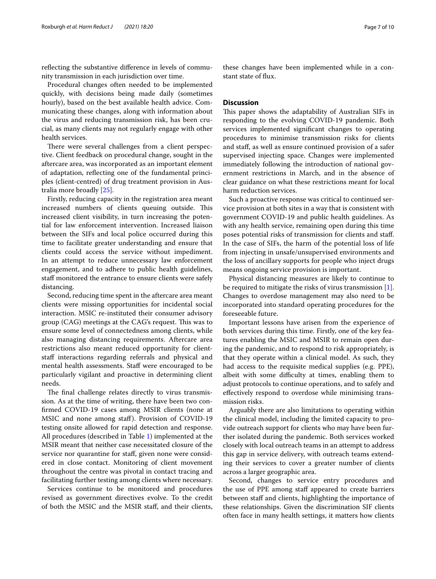reflecting the substantive difference in levels of community transmission in each jurisdiction over time.

Procedural changes often needed to be implemented quickly, with decisions being made daily (sometimes hourly), based on the best available health advice. Communicating these changes, along with information about the virus and reducing transmission risk, has been crucial, as many clients may not regularly engage with other health services.

There were several challenges from a client perspective. Client feedback on procedural change, sought in the aftercare area, was incorporated as an important element of adaptation, refecting one of the fundamental principles (client-centred) of drug treatment provision in Australia more broadly [\[25](#page-9-1)].

Firstly, reducing capacity in the registration area meant increased numbers of clients queuing outside. This increased client visibility, in turn increasing the potential for law enforcement intervention. Increased liaison between the SIFs and local police occurred during this time to facilitate greater understanding and ensure that clients could access the service without impediment. In an attempt to reduce unnecessary law enforcement engagement, and to adhere to public health guidelines, staff monitored the entrance to ensure clients were safely distancing.

Second, reducing time spent in the aftercare area meant clients were missing opportunities for incidental social interaction. MSIC re-instituted their consumer advisory group (CAG) meetings at the CAG's request. This was to ensure some level of connectedness among clients, while also managing distancing requirements. Aftercare area restrictions also meant reduced opportunity for clientstaff interactions regarding referrals and physical and mental health assessments. Staff were encouraged to be particularly vigilant and proactive in determining client needs.

The final challenge relates directly to virus transmission. As at the time of writing, there have been two confrmed COVID-19 cases among MSIR clients (none at MSIC and none among staf). Provision of COVID-19 testing onsite allowed for rapid detection and response. All procedures (described in Table [1](#page-4-0)) implemented at the MSIR meant that neither case necessitated closure of the service nor quarantine for staff, given none were considered in close contact. Monitoring of client movement throughout the centre was pivotal in contact tracing and facilitating further testing among clients where necessary.

Services continue to be monitored and procedures revised as government directives evolve. To the credit of both the MSIC and the MSIR staf, and their clients,

these changes have been implemented while in a constant state of fux.

# **Discussion**

This paper shows the adaptability of Australian SIFs in responding to the evolving COVID-19 pandemic. Both services implemented signifcant changes to operating procedures to minimise transmission risks for clients and staf, as well as ensure continued provision of a safer supervised injecting space. Changes were implemented immediately following the introduction of national government restrictions in March, and in the absence of clear guidance on what these restrictions meant for local harm reduction services.

Such a proactive response was critical to continued service provision at both sites in a way that is consistent with government COVID-19 and public health guidelines. As with any health service, remaining open during this time poses potential risks of transmission for clients and staf. In the case of SIFs, the harm of the potential loss of life from injecting in unsafe/unsupervised environments and the loss of ancillary supports for people who inject drugs means ongoing service provision is important.

Physical distancing measures are likely to continue to be required to mitigate the risks of virus transmission [\[1](#page-8-0)]. Changes to overdose management may also need to be incorporated into standard operating procedures for the foreseeable future.

Important lessons have arisen from the experience of both services during this time. Firstly, one of the key features enabling the MSIC and MSIR to remain open during the pandemic, and to respond to risk appropriately, is that they operate within a clinical model. As such, they had access to the requisite medical supplies (e.g. PPE), albeit with some difficulty at times, enabling them to adjust protocols to continue operations, and to safely and efectively respond to overdose while minimising transmission risks.

Arguably there are also limitations to operating within the clinical model, including the limited capacity to provide outreach support for clients who may have been further isolated during the pandemic. Both services worked closely with local outreach teams in an attempt to address this gap in service delivery, with outreach teams extending their services to cover a greater number of clients across a larger geographic area.

Second, changes to service entry procedures and the use of PPE among staf appeared to create barriers between staff and clients, highlighting the importance of these relationships. Given the discrimination SIF clients often face in many health settings, it matters how clients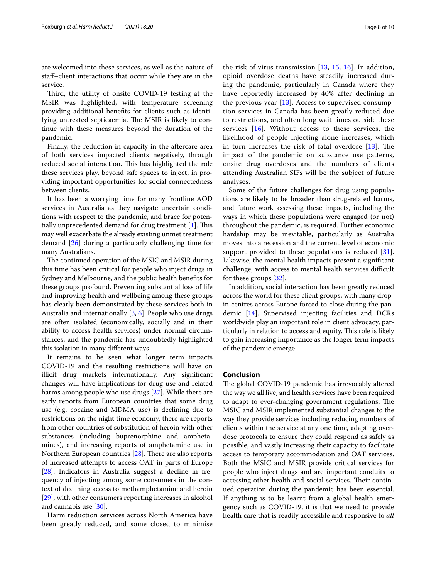are welcomed into these services, as well as the nature of staf–client interactions that occur while they are in the service.

Third, the utility of onsite COVID-19 testing at the MSIR was highlighted, with temperature screening providing additional benefts for clients such as identifying untreated septicaemia. The MSIR is likely to continue with these measures beyond the duration of the pandemic.

Finally, the reduction in capacity in the aftercare area of both services impacted clients negatively, through reduced social interaction. This has highlighted the role these services play, beyond safe spaces to inject, in providing important opportunities for social connectedness between clients.

It has been a worrying time for many frontline AOD services in Australia as they navigate uncertain conditions with respect to the pandemic, and brace for potentially unprecedented demand for drug treatment  $[1]$  $[1]$ . This may well exacerbate the already existing unmet treatment demand [\[26\]](#page-9-2) during a particularly challenging time for many Australians.

The continued operation of the MSIC and MSIR during this time has been critical for people who inject drugs in Sydney and Melbourne, and the public health benefts for these groups profound. Preventing substantial loss of life and improving health and wellbeing among these groups has clearly been demonstrated by these services both in Australia and internationally [\[3](#page-8-2), [6\]](#page-8-5). People who use drugs are often isolated (economically, socially and in their ability to access health services) under normal circumstances, and the pandemic has undoubtedly highlighted this isolation in many diferent ways.

It remains to be seen what longer term impacts COVID-19 and the resulting restrictions will have on illicit drug markets internationally. Any signifcant changes will have implications for drug use and related harms among people who use drugs [\[27](#page-9-3)]. While there are early reports from European countries that some drug use (e.g. cocaine and MDMA use) is declining due to restrictions on the night time economy, there are reports from other countries of substitution of heroin with other substances (including buprenorphine and amphetamines), and increasing reports of amphetamine use in Northern European countries  $[28]$  $[28]$  $[28]$ . There are also reports of increased attempts to access OAT in parts of Europe [[28\]](#page-9-4). Indicators in Australia suggest a decline in frequency of injecting among some consumers in the context of declining access to methamphetamine and heroin [[29\]](#page-9-5), with other consumers reporting increases in alcohol and cannabis use [[30](#page-9-6)].

Harm reduction services across North America have been greatly reduced, and some closed to minimise the risk of virus transmission [[13,](#page-8-12) [15,](#page-8-14) [16\]](#page-8-15). In addition, opioid overdose deaths have steadily increased during the pandemic, particularly in Canada where they have reportedly increased by 40% after declining in the previous year [\[13](#page-8-12)]. Access to supervised consumption services in Canada has been greatly reduced due to restrictions, and often long wait times outside these services [\[16](#page-8-15)]. Without access to these services, the likelihood of people injecting alone increases, which in turn increases the risk of fatal overdose  $[13]$  $[13]$ . The impact of the pandemic on substance use patterns, onsite drug overdoses and the numbers of clients attending Australian SIFs will be the subject of future analyses.

Some of the future challenges for drug using populations are likely to be broader than drug-related harms, and future work assessing these impacts, including the ways in which these populations were engaged (or not) throughout the pandemic, is required. Further economic hardship may be inevitable, particularly as Australia moves into a recession and the current level of economic support provided to these populations is reduced [\[31](#page-9-7)]. Likewise, the mental health impacts present a signifcant challenge, with access to mental health services difficult for these groups [\[32\]](#page-9-8).

In addition, social interaction has been greatly reduced across the world for these client groups, with many dropin centres across Europe forced to close during the pandemic [[14\]](#page-8-13). Supervised injecting facilities and DCRs worldwide play an important role in client advocacy, particularly in relation to access and equity. This role is likely to gain increasing importance as the longer term impacts of the pandemic emerge.

# **Conclusion**

The global COVID-19 pandemic has irrevocably altered the way we all live, and health services have been required to adapt to ever-changing government regulations. The MSIC and MSIR implemented substantial changes to the way they provide services including reducing numbers of clients within the service at any one time, adapting overdose protocols to ensure they could respond as safely as possible, and vastly increasing their capacity to facilitate access to temporary accommodation and OAT services. Both the MSIC and MSIR provide critical services for people who inject drugs and are important conduits to accessing other health and social services. Their continued operation during the pandemic has been essential. If anything is to be learnt from a global health emergency such as COVID-19, it is that we need to provide health care that is readily accessible and responsive to *all*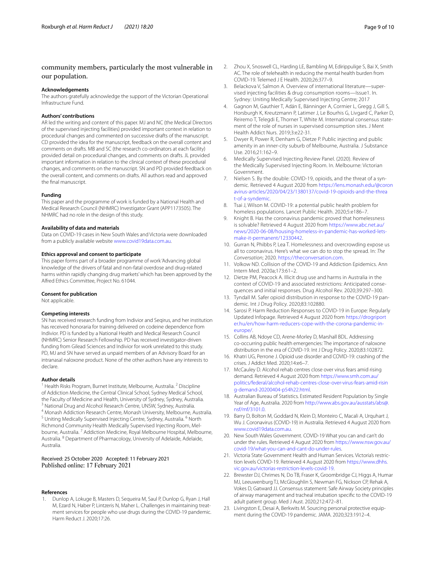# community members, particularly the most vulnerable in our population.

#### **Acknowledgements**

The authors gratefully acknowledge the support of the Victorian Operational Infrastructure Fund.

## **Authors' contributions**

AR led the writing and content of this paper. MJ and NC (the Medical Directors of the supervised injecting facilities) provided important context in relation to procedural changes and commented on successive drafts of the manuscript. CD provided the idea for the manuscript, feedback on the overall content and comments on drafts. MB and SC (the research co-ordinators at each facility) provided detail on procedural changes, and comments on drafts. JL provided important information in relation to the clinical context of these procedural changes, and comments on the manuscript. SN and PD provided feedback on the overall content, and comments on drafts. All authors read and approved the fnal manuscript.

### **Funding**

This paper and the programme of work is funded by a National Health and Medical Research Council (NHMRC) Investigator Grant (APP1173505). The NHMRC had no role in the design of this study.

#### **Availability of data and materials**

Data on COVID-19 cases in New South Wales and Victoria were downloaded from a publicly available website [www.covid19data.com.au](http://www.covid19data.com.au).

#### **Ethics approval and consent to participate**

This paper forms part of a broader programme of work 'Advancing global knowledge of the drivers of fatal and non-fatal overdose and drug-related harms within rapidly changing drug markets' which has been approved by the Alfred Ethics Committee, Project No. 61044.

#### **Consent for publication**

Not applicable.

#### **Competing interests**

SN has received research funding from Indivior and Seqirus, and her institution has received honoraria for training delivered on codeine dependence from Indivior. PD is funded by a National Health and Medical Research Council (NHMRC) Senior Research Fellowship. PD has received investigator-driven funding from Gilead Sciences and Indivior for work unrelated to this study. PD, MJ and SN have served as unpaid members of an Advisory Board for an intranasal naloxone product. None of the other authors have any interests to declare.

#### **Author details**

<sup>1</sup> Health Risks Program, Burnet Institute, Melbourne, Australia.<sup>2</sup> Discipline of Addiction Medicine, the Central Clinical School, Sydney Medical School, <sup>3</sup> National Drug and Alcohol Research Centre, UNSW, Sydney, Australia.<br><sup>4</sup> Monash Addiction Research Centre, Monash University, Melbourne, Australia.

<sup>5</sup> Uniting Medically Supervised Injecting Centre, Sydney, Australia. <sup>6</sup> North Richmond Community Health Medically Supervised Injecting Room, Melbourne, Australia. <sup>7</sup> Addiction Medicine, Royal Melbourne Hospital, Melbourne, Australia. 8 Department of Pharmacology, University of Adelaide, Adelaide, Australia.

## Received: 25 October 2020 Accepted: 11 February 2021 Published online: 17 February 2021

#### **References**

<span id="page-8-0"></span>1. Dunlop A, Lokuge B, Masters D, Sequeira M, Saul P, Dunlop G, Ryan J, Hall M, Ezard N, Haber P, Lintzeris N, Maher L. Challenges in maintaining treatment services for people who use drugs during the COVID-19 pandemic. Harm Reduct J. 2020;17:26.

- <span id="page-8-1"></span>2. Zhou X, Snoswell CL, Harding LE, Bambling M, Edirippulige S, Bai X, Smith AC. The role of telehealth in reducing the mental health burden from COVID-19. Telemed J E Health. 2020;26:377–9.
- <span id="page-8-2"></span>3. Belackova V, Salmon A. Overview of international literature—supervised injecting facilities & drug consumption rooms—Issue1. In. Sydney: Uniting Medically Supervised Injecting Centre; 2017
- <span id="page-8-3"></span>4. Gagnon M, Gauthier T, Adán E, Bänninger A, Cormier L, Gregg J, Gill S, Horsburgh K, Kreutzmann P, Latimer J, Le Bourhis G, Livgard C, Parker D, Reiremo T, Telegdi E, Thorner T, White M. International consensus statement of the role of nurses in supervised consumption sites. J Ment Health Addict Nurs. 2019;3:e22-31.
- <span id="page-8-4"></span>5. Dwyer R, Power R, Denham G, Dietze P. Public injecting and public amenity in an inner-city suburb of Melbourne, Australia. J Substance Use. 2016;21:162–9.
- <span id="page-8-5"></span>6. Medically Supervised Injecting Review Panel. (2020). Review of the Medically Supervised Injecting Room. In. Melbourne: Victorian Government.
- <span id="page-8-6"></span>7. Nielsen S. By the double: COVID-19, opioids, and the threat of a syndemic. Retrieved 4 August 2020 from [https://lens.monash.edu/@coron](https://lens.monash.edu/@coronavirus-articles/2020/04/23/1380137/covid-19-opioids-and-the-threat-of-a-syndemic) [avirus-articles/2020/04/23/1380137/covid-19-opioids-and-the-threa](https://lens.monash.edu/@coronavirus-articles/2020/04/23/1380137/covid-19-opioids-and-the-threat-of-a-syndemic) [t-of-a-syndemic.](https://lens.monash.edu/@coronavirus-articles/2020/04/23/1380137/covid-19-opioids-and-the-threat-of-a-syndemic)
- <span id="page-8-7"></span>8. Tsai J, Wilson M. COVID-19: a potential public health problem for homeless populations. Lancet Public Health. 2020;5:e186–7.
- <span id="page-8-8"></span>Knight B. Has the coronavirus pandemic proved that homelessness is solvable? Retrieved 4 August 2020 from [https://www.abc.net.au/](https://www.abc.net.au/news/2020-06-08/housing-homeless-in-pandemic-has-worked-lets-make-it-permanent/12330442) [news/2020-06-08/housing-homeless-in-pandemic-has-worked-lets](https://www.abc.net.au/news/2020-06-08/housing-homeless-in-pandemic-has-worked-lets-make-it-permanent/12330442)[make-it-permanent/12330442.](https://www.abc.net.au/news/2020-06-08/housing-homeless-in-pandemic-has-worked-lets-make-it-permanent/12330442)
- <span id="page-8-9"></span>10. Gurran N, Phibbs P, Lea T. Homelessness and overcrowding expose us all to coronavirus. Here's what we can do to stop the spread. In: *The Conversation*; 2020. <https://theconversation.com>.
- <span id="page-8-10"></span>11. Volkow ND. Collision of the COVID-19 and Addiction Epidemics. Ann Intern Med. 2020a;173:61–2.
- <span id="page-8-11"></span>12. Dietze PM, Peacock A. Illicit drug use and harms in Australia in the context of COVID-19 and associated restrictions: Anticipated consequences and initial responses. Drug Alcohol Rev. 2020;39:297–300.
- <span id="page-8-12"></span>13. Tyndall M. Safer opioid distribution in response to the COVID-19 pandemic. Int J Drug Policy. 2020;83:102880.
- <span id="page-8-13"></span>14. Sarosi P. Harm Reduction Responses to COVID-19 in Europe: Regularly Updated Infopage. Retrieved 4 August 2020 from [https://drogriport](https://drogriporter.hu/en/how-harm-reducers-cope-with-the-corona-pandemic-in-europe/) [er.hu/en/how-harm-reducers-cope-with-the-corona-pandemic-in](https://drogriporter.hu/en/how-harm-reducers-cope-with-the-corona-pandemic-in-europe/)[europe/.](https://drogriporter.hu/en/how-harm-reducers-cope-with-the-corona-pandemic-in-europe/)
- <span id="page-8-14"></span>15. Collins AB, Ndoye CD, Arene-Morley D, Marshall BDL. Addressing co-occurring public health emergencies: The importance of naloxone distribution in the era of COVID-19. Int J Drug Policy. 2020;83:102872.
- <span id="page-8-15"></span>16. Khatri UG, Perrone J. Opioid use disorder and COVID-19: crashing of the crises. J Addict Med. 2020;14:e6–7.
- <span id="page-8-16"></span>17. McCauley D. Alcohol rehab centres close over virus fears amid rising demand. Retrieved 4 August 2020 from [https://www.smh.com.au/](https://www.smh.com.au/politics/federal/alcohol-rehab-centres-close-over-virus-fears-amid-rising-demand-20200404-p54h22.html) [politics/federal/alcohol-rehab-centres-close-over-virus-fears-amid-risin](https://www.smh.com.au/politics/federal/alcohol-rehab-centres-close-over-virus-fears-amid-rising-demand-20200404-p54h22.html) [g-demand-20200404-p54h22.html](https://www.smh.com.au/politics/federal/alcohol-rehab-centres-close-over-virus-fears-amid-rising-demand-20200404-p54h22.html).
- <span id="page-8-17"></span>18. Australian Bureau of Statistics. Estimated Resident Population by Single Year of Age, Australia. 2020 from [http://www.abs.gov.au/ausstats/abs@.](http://www.abs.gov.au/ausstats/abs@.nsf/mf/3101.0) [nsf/mf/3101.0](http://www.abs.gov.au/ausstats/abs@.nsf/mf/3101.0).
- <span id="page-8-18"></span>19. Barry D, Bolton M, Goddard N, Klein D, Monteiro C, Macali A, Urquhart J, Wu J. Coronavirus (COVID-19) in Australia. Retrieved 4 August 2020 from [www.covid19data.com.au](http://www.covid19data.com.au).
- <span id="page-8-19"></span>20. New South Wales Government. COVID-19 What you can and can't do under the rules. Retrieved 4 August 2020 from [https://www.nsw.gov.au/](https://www.nsw.gov.au/covid-19/what-you-can-and-cant-do-under-rules) [covid-19/what-you-can-and-cant-do-under-rules](https://www.nsw.gov.au/covid-19/what-you-can-and-cant-do-under-rules).
- <span id="page-8-20"></span>21. Victoria State Government Health and Human Services. Victoria's restriction levels COVID-19. Retrieved 4 August 2020 from [https://www.dhhs.](https://www.dhhs.vic.gov.au/victorias-restriction-levels-covid-19) [vic.gov.au/victorias-restriction-levels-covid-19.](https://www.dhhs.vic.gov.au/victorias-restriction-levels-covid-19)
- <span id="page-8-21"></span>22. Brewster DJ, Chrimes N, Do TB, Fraser K, Groombridge CJ, Higgs A, Humar MJ, Leeuwenburg TJ, McGloughlin S, Newman FG, Nickson CP, Rehak A, Vokes D, Gatward JJ. Consensus statement: Safe Airway Society principles of airway management and tracheal intubation specifc to the COVID-19 adult patient group. Med J Aust. 2020;212:472–81.
- <span id="page-8-22"></span>23. Livingston E, Desai A, Berkwits M. Sourcing personal protective equipment during the COVID-19 pandemic. JAMA. 2020;323:1912–4.